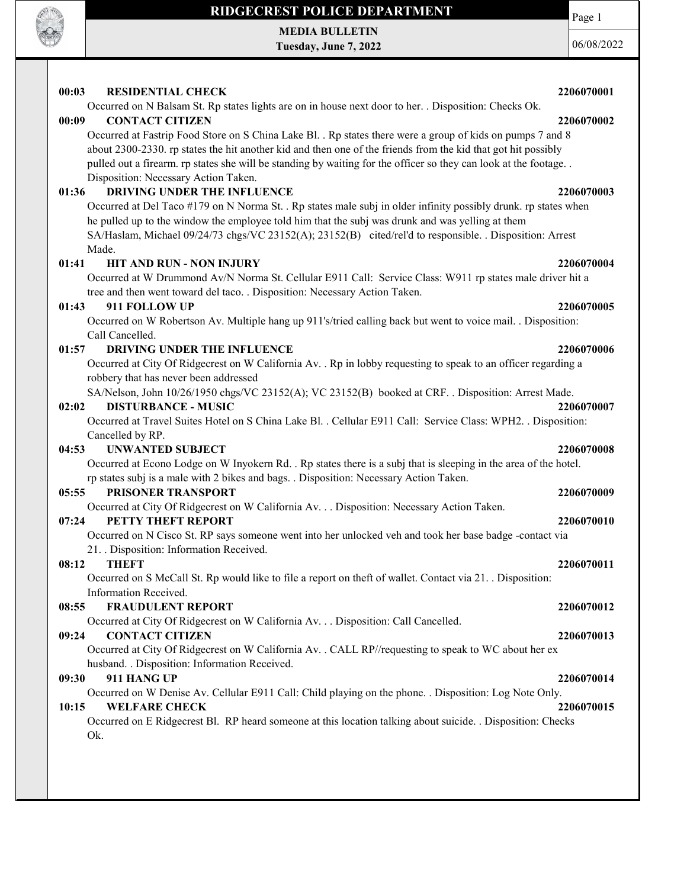

MEDIA BULLETIN Tuesday, June 7, 2022

06/08/2022

Page 1

| 00:03 | <b>RESIDENTIAL CHECK</b>                                                                                                                                                                                                                                                                                                                                                               | 2206070001 |
|-------|----------------------------------------------------------------------------------------------------------------------------------------------------------------------------------------------------------------------------------------------------------------------------------------------------------------------------------------------------------------------------------------|------------|
| 00:09 | Occurred on N Balsam St. Rp states lights are on in house next door to her. . Disposition: Checks Ok.<br><b>CONTACT CITIZEN</b>                                                                                                                                                                                                                                                        | 2206070002 |
|       | Occurred at Fastrip Food Store on S China Lake Bl. . Rp states there were a group of kids on pumps 7 and 8<br>about 2300-2330. rp states the hit another kid and then one of the friends from the kid that got hit possibly<br>pulled out a firearm. rp states she will be standing by waiting for the officer so they can look at the footage<br>Disposition: Necessary Action Taken. |            |
| 01:36 | DRIVING UNDER THE INFLUENCE                                                                                                                                                                                                                                                                                                                                                            | 2206070003 |
|       | Occurred at Del Taco #179 on N Norma St. . Rp states male subj in older infinity possibly drunk. rp states when<br>he pulled up to the window the employee told him that the subj was drunk and was yelling at them<br>SA/Haslam, Michael 09/24/73 chgs/VC 23152(A); 23152(B) cited/rel'd to responsible. . Disposition: Arrest<br>Made.                                               |            |
| 01:41 | <b>HIT AND RUN - NON INJURY</b>                                                                                                                                                                                                                                                                                                                                                        | 2206070004 |
|       | Occurred at W Drummond Av/N Norma St. Cellular E911 Call: Service Class: W911 rp states male driver hit a<br>tree and then went toward del taco. . Disposition: Necessary Action Taken.                                                                                                                                                                                                |            |
| 01:43 | 911 FOLLOW UP                                                                                                                                                                                                                                                                                                                                                                          | 2206070005 |
|       | Occurred on W Robertson Av. Multiple hang up 911's/tried calling back but went to voice mail. . Disposition:<br>Call Cancelled.                                                                                                                                                                                                                                                        |            |
| 01:57 | DRIVING UNDER THE INFLUENCE                                                                                                                                                                                                                                                                                                                                                            | 2206070006 |
|       | Occurred at City Of Ridgecrest on W California Av. . Rp in lobby requesting to speak to an officer regarding a<br>robbery that has never been addressed                                                                                                                                                                                                                                |            |
|       | SA/Nelson, John 10/26/1950 chgs/VC 23152(A); VC 23152(B) booked at CRF. . Disposition: Arrest Made.                                                                                                                                                                                                                                                                                    |            |
| 02:02 | <b>DISTURBANCE - MUSIC</b><br>Occurred at Travel Suites Hotel on S China Lake Bl. . Cellular E911 Call: Service Class: WPH2. . Disposition:                                                                                                                                                                                                                                            | 2206070007 |
|       | Cancelled by RP.                                                                                                                                                                                                                                                                                                                                                                       |            |
| 04:53 | <b>UNWANTED SUBJECT</b>                                                                                                                                                                                                                                                                                                                                                                | 2206070008 |
|       | Occurred at Econo Lodge on W Inyokern Rd. . Rp states there is a subj that is sleeping in the area of the hotel.                                                                                                                                                                                                                                                                       |            |
| 05:55 | rp states subj is a male with 2 bikes and bags. . Disposition: Necessary Action Taken.<br>PRISONER TRANSPORT                                                                                                                                                                                                                                                                           | 2206070009 |
|       | Occurred at City Of Ridgecrest on W California Av. Disposition: Necessary Action Taken.                                                                                                                                                                                                                                                                                                |            |
| 07:24 | PETTY THEFT REPORT                                                                                                                                                                                                                                                                                                                                                                     | 2206070010 |
|       | Occurred on N Cisco St. RP says someone went into her unlocked veh and took her base badge -contact via<br>21. Disposition: Information Received.                                                                                                                                                                                                                                      |            |
| 08:12 | <b>THEFT</b>                                                                                                                                                                                                                                                                                                                                                                           | 2206070011 |
|       | Occurred on S McCall St. Rp would like to file a report on theft of wallet. Contact via 21. Disposition:<br>Information Received.                                                                                                                                                                                                                                                      |            |
| 08:55 | <b>FRAUDULENT REPORT</b>                                                                                                                                                                                                                                                                                                                                                               | 2206070012 |
|       | Occurred at City Of Ridgecrest on W California Av. Disposition: Call Cancelled.                                                                                                                                                                                                                                                                                                        |            |
| 09:24 | <b>CONTACT CITIZEN</b>                                                                                                                                                                                                                                                                                                                                                                 | 2206070013 |
|       | Occurred at City Of Ridgecrest on W California Av. . CALL RP//requesting to speak to WC about her ex<br>husband. . Disposition: Information Received.                                                                                                                                                                                                                                  |            |
| 09:30 | 911 HANG UP                                                                                                                                                                                                                                                                                                                                                                            | 2206070014 |
|       | Occurred on W Denise Av. Cellular E911 Call: Child playing on the phone. . Disposition: Log Note Only.                                                                                                                                                                                                                                                                                 |            |
| 10:15 | <b>WELFARE CHECK</b><br>Occurred on E Ridgecrest Bl. RP heard someone at this location talking about suicide. . Disposition: Checks                                                                                                                                                                                                                                                    | 2206070015 |
|       | Ok.                                                                                                                                                                                                                                                                                                                                                                                    |            |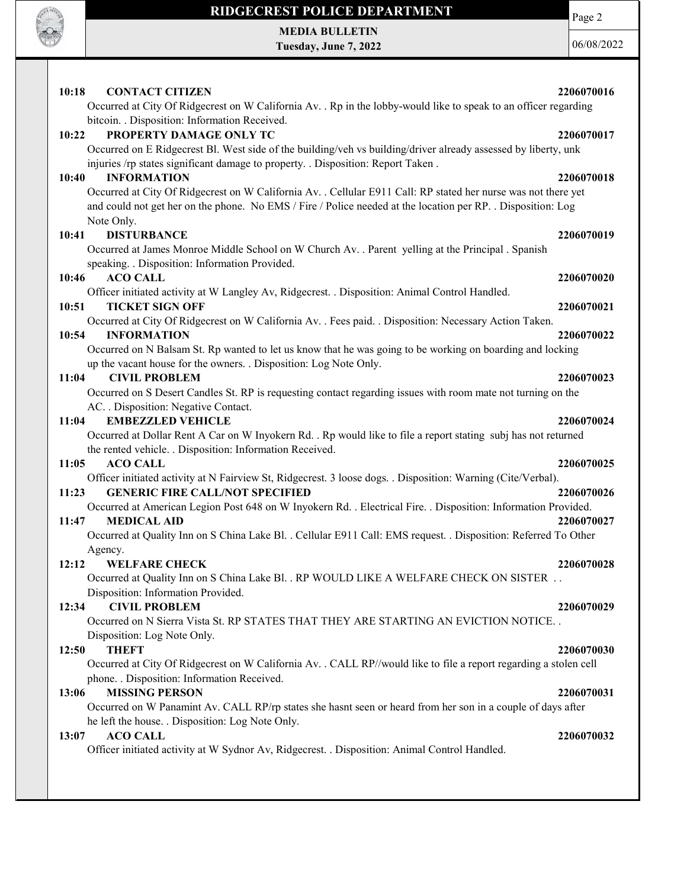

MEDIA BULLETIN Tuesday, June 7, 2022 Page 2

06/08/2022

| 10:18<br><b>CONTACT CITIZEN</b>                                                                                   | 2206070016 |
|-------------------------------------------------------------------------------------------------------------------|------------|
| Occurred at City Of Ridgecrest on W California Av. . Rp in the lobby-would like to speak to an officer regarding  |            |
| bitcoin. . Disposition: Information Received.<br>PROPERTY DAMAGE ONLY TC                                          |            |
| 10:22                                                                                                             | 2206070017 |
| Occurred on E Ridgecrest Bl. West side of the building/veh vs building/driver already assessed by liberty, unk    |            |
| injuries /rp states significant damage to property. . Disposition: Report Taken.                                  |            |
| <b>INFORMATION</b><br>10:40                                                                                       | 2206070018 |
| Occurred at City Of Ridgecrest on W California Av. . Cellular E911 Call: RP stated her nurse was not there yet    |            |
| and could not get her on the phone. No EMS / Fire / Police needed at the location per RP. . Disposition: Log      |            |
| Note Only.                                                                                                        |            |
| <b>DISTURBANCE</b><br>10:41                                                                                       | 2206070019 |
| Occurred at James Monroe Middle School on W Church Av. . Parent yelling at the Principal . Spanish                |            |
| speaking. . Disposition: Information Provided.                                                                    |            |
| 10:46<br><b>ACO CALL</b>                                                                                          | 2206070020 |
| Officer initiated activity at W Langley Av, Ridgecrest. . Disposition: Animal Control Handled.                    |            |
| 10:51<br><b>TICKET SIGN OFF</b>                                                                                   | 2206070021 |
| Occurred at City Of Ridgecrest on W California Av. . Fees paid. . Disposition: Necessary Action Taken.            |            |
| 10:54<br><b>INFORMATION</b>                                                                                       | 2206070022 |
| Occurred on N Balsam St. Rp wanted to let us know that he was going to be working on boarding and locking         |            |
| up the vacant house for the owners. . Disposition: Log Note Only.                                                 |            |
| <b>CIVIL PROBLEM</b><br>11:04                                                                                     | 2206070023 |
| Occurred on S Desert Candles St. RP is requesting contact regarding issues with room mate not turning on the      |            |
| AC. . Disposition: Negative Contact.                                                                              |            |
| <b>EMBEZZLED VEHICLE</b><br>11:04                                                                                 | 2206070024 |
| Occurred at Dollar Rent A Car on W Inyokern Rd. . Rp would like to file a report stating subj has not returned    |            |
| the rented vehicle. . Disposition: Information Received.                                                          |            |
| 11:05<br><b>ACO CALL</b>                                                                                          | 2206070025 |
| Officer initiated activity at N Fairview St, Ridgecrest. 3 loose dogs. . Disposition: Warning (Cite/Verbal).      |            |
| <b>GENERIC FIRE CALL/NOT SPECIFIED</b><br>11:23                                                                   | 2206070026 |
| Occurred at American Legion Post 648 on W Inyokern Rd. . Electrical Fire. . Disposition: Information Provided.    |            |
| <b>MEDICAL AID</b><br>11:47                                                                                       | 2206070027 |
| Occurred at Quality Inn on S China Lake Bl. . Cellular E911 Call: EMS request. . Disposition: Referred To Other   |            |
| Agency.                                                                                                           |            |
| <b>WELFARE CHECK</b><br>12:12                                                                                     | 2206070028 |
| Occurred at Quality Inn on S China Lake Bl. . RP WOULD LIKE A WELFARE CHECK ON SISTER                             |            |
| Disposition: Information Provided.                                                                                |            |
| <b>CIVIL PROBLEM</b><br>12:34                                                                                     | 2206070029 |
| Occurred on N Sierra Vista St. RP STATES THAT THEY ARE STARTING AN EVICTION NOTICE                                |            |
| Disposition: Log Note Only.                                                                                       |            |
| <b>THEFT</b><br>12:50                                                                                             | 2206070030 |
| Occurred at City Of Ridgecrest on W California Av. . CALL RP//would like to file a report regarding a stolen cell |            |
| phone. . Disposition: Information Received.                                                                       |            |
| 13:06<br><b>MISSING PERSON</b>                                                                                    | 2206070031 |
| Occurred on W Panamint Av. CALL RP/rp states she hasnt seen or heard from her son in a couple of days after       |            |
| he left the house. . Disposition: Log Note Only.                                                                  |            |
| <b>ACO CALL</b><br>13:07                                                                                          | 2206070032 |
| Officer initiated activity at W Sydnor Av, Ridgecrest. . Disposition: Animal Control Handled.                     |            |
|                                                                                                                   |            |
|                                                                                                                   |            |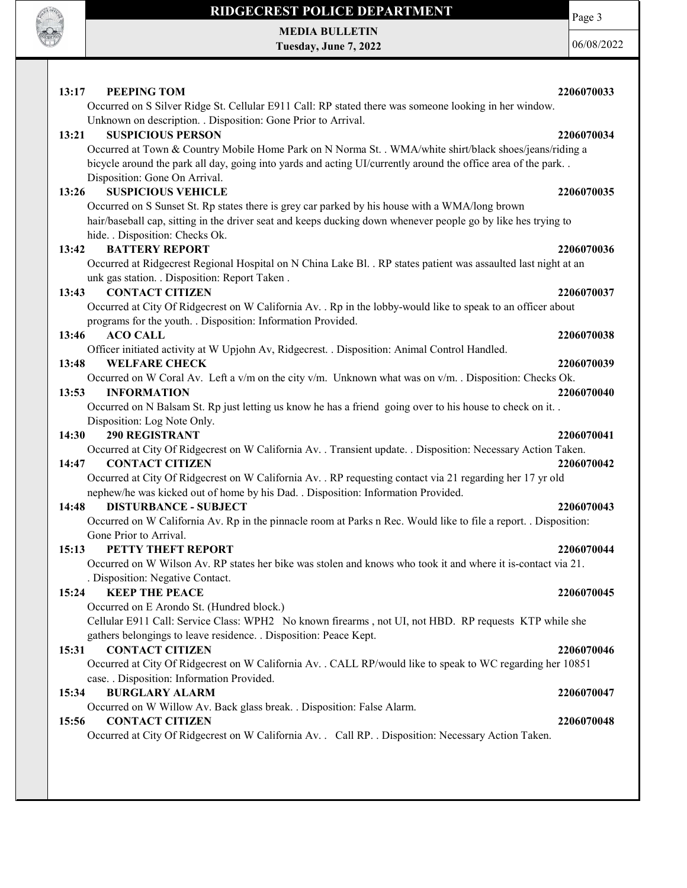

MEDIA BULLETIN Tuesday, June 7, 2022 Page 3

06/08/2022

| PEEPING TOM<br>13:17<br>Occurred on S Silver Ridge St. Cellular E911 Call: RP stated there was someone looking in her window.                    | 2206070033 |
|--------------------------------------------------------------------------------------------------------------------------------------------------|------------|
| Unknown on description. . Disposition: Gone Prior to Arrival.                                                                                    |            |
| <b>SUSPICIOUS PERSON</b><br>13:21                                                                                                                | 2206070034 |
| Occurred at Town & Country Mobile Home Park on N Norma St. . WMA/white shirt/black shoes/jeans/riding a                                          |            |
| bicycle around the park all day, going into yards and acting UI/currently around the office area of the park<br>Disposition: Gone On Arrival.    |            |
| <b>SUSPICIOUS VEHICLE</b><br>13:26                                                                                                               | 2206070035 |
| Occurred on S Sunset St. Rp states there is grey car parked by his house with a WMA/long brown                                                   |            |
| hair/baseball cap, sitting in the driver seat and keeps ducking down whenever people go by like hes trying to<br>hide. . Disposition: Checks Ok. |            |
| <b>BATTERY REPORT</b><br>13:42                                                                                                                   | 2206070036 |
| Occurred at Ridgecrest Regional Hospital on N China Lake Bl. . RP states patient was assaulted last night at an                                  |            |
| unk gas station. . Disposition: Report Taken.                                                                                                    |            |
| <b>CONTACT CITIZEN</b><br>13:43                                                                                                                  | 2206070037 |
| Occurred at City Of Ridgecrest on W California Av. . Rp in the lobby-would like to speak to an officer about                                     |            |
| programs for the youth. . Disposition: Information Provided.                                                                                     |            |
| 13:46<br><b>ACO CALL</b>                                                                                                                         | 2206070038 |
| Officer initiated activity at W Upjohn Av, Ridgecrest. . Disposition: Animal Control Handled.                                                    |            |
| <b>WELFARE CHECK</b><br>13:48                                                                                                                    | 2206070039 |
| Occurred on W Coral Av. Left a v/m on the city v/m. Unknown what was on v/m. . Disposition: Checks Ok.                                           |            |
| 13:53<br><b>INFORMATION</b>                                                                                                                      | 2206070040 |
| Occurred on N Balsam St. Rp just letting us know he has a friend going over to his house to check on it                                          |            |
| Disposition: Log Note Only.                                                                                                                      |            |
| <b>290 REGISTRANT</b><br>14:30                                                                                                                   | 2206070041 |
| Occurred at City Of Ridgecrest on W California Av. . Transient update. . Disposition: Necessary Action Taken.                                    |            |
| <b>CONTACT CITIZEN</b><br>14:47                                                                                                                  | 2206070042 |
| Occurred at City Of Ridgecrest on W California Av. . RP requesting contact via 21 regarding her 17 yr old                                        |            |
| nephew/he was kicked out of home by his Dad. . Disposition: Information Provided.                                                                |            |
| <b>DISTURBANCE - SUBJECT</b><br>14:48                                                                                                            | 2206070043 |
| Occurred on W California Av. Rp in the pinnacle room at Parks n Rec. Would like to file a report. . Disposition:                                 |            |
| Gone Prior to Arrival.                                                                                                                           |            |
| PETTY THEFT REPORT<br>15:13                                                                                                                      | 2206070044 |
| Occurred on W Wilson Av. RP states her bike was stolen and knows who took it and where it is-contact via 21.                                     |            |
| Disposition: Negative Contact.                                                                                                                   |            |
| <b>KEEP THE PEACE</b><br>15:24                                                                                                                   | 2206070045 |
| Occurred on E Arondo St. (Hundred block.)                                                                                                        |            |
| Cellular E911 Call: Service Class: WPH2 No known firearms, not UI, not HBD. RP requests KTP while she                                            |            |
| gathers belongings to leave residence. . Disposition: Peace Kept.                                                                                |            |
| <b>CONTACT CITIZEN</b><br>15:31                                                                                                                  | 2206070046 |
| Occurred at City Of Ridgecrest on W California Av. . CALL RP/would like to speak to WC regarding her 10851                                       |            |
| case. . Disposition: Information Provided.                                                                                                       |            |
| <b>BURGLARY ALARM</b><br>15:34                                                                                                                   | 2206070047 |
| Occurred on W Willow Av. Back glass break. . Disposition: False Alarm.                                                                           |            |
| 15:56<br><b>CONTACT CITIZEN</b><br>Occurred at City Of Ridgecrest on W California Av. . Call RP. . Disposition: Necessary Action Taken.          | 2206070048 |
|                                                                                                                                                  |            |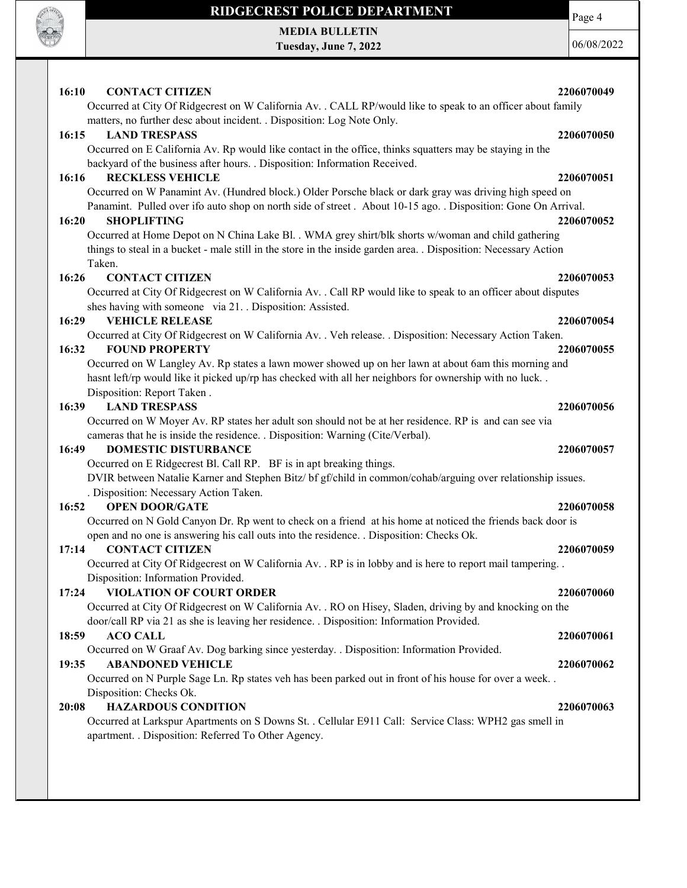

MEDIA BULLETIN Tuesday, June 7, 2022 Page 4

06/08/2022

| 2206070049<br>16:10<br><b>CONTACT CITIZEN</b>                                                                                                                                                          |  |
|--------------------------------------------------------------------------------------------------------------------------------------------------------------------------------------------------------|--|
| Occurred at City Of Ridgecrest on W California Av. . CALL RP/would like to speak to an officer about family                                                                                            |  |
| matters, no further desc about incident. . Disposition: Log Note Only.                                                                                                                                 |  |
| 16:15<br><b>LAND TRESPASS</b><br>2206070050                                                                                                                                                            |  |
| Occurred on E California Av. Rp would like contact in the office, thinks squatters may be staying in the                                                                                               |  |
| backyard of the business after hours. . Disposition: Information Received.                                                                                                                             |  |
| <b>RECKLESS VEHICLE</b><br>2206070051<br>16:16                                                                                                                                                         |  |
| Occurred on W Panamint Av. (Hundred block.) Older Porsche black or dark gray was driving high speed on                                                                                                 |  |
| Panamint. Pulled over ifo auto shop on north side of street. About 10-15 ago. . Disposition: Gone On Arrival.                                                                                          |  |
| 16:20<br><b>SHOPLIFTING</b><br>2206070052                                                                                                                                                              |  |
| Occurred at Home Depot on N China Lake Bl. . WMA grey shirt/blk shorts w/woman and child gathering                                                                                                     |  |
| things to steal in a bucket - male still in the store in the inside garden area. Disposition: Necessary Action<br>Taken.                                                                               |  |
| 16:26<br><b>CONTACT CITIZEN</b><br>2206070053                                                                                                                                                          |  |
| Occurred at City Of Ridgecrest on W California Av. . Call RP would like to speak to an officer about disputes                                                                                          |  |
| shes having with someone via 21. Disposition: Assisted.                                                                                                                                                |  |
| 16:29<br><b>VEHICLE RELEASE</b><br>2206070054                                                                                                                                                          |  |
| Occurred at City Of Ridgecrest on W California Av. . Veh release. . Disposition: Necessary Action Taken.                                                                                               |  |
| <b>FOUND PROPERTY</b><br>16:32<br>2206070055                                                                                                                                                           |  |
| Occurred on W Langley Av. Rp states a lawn mower showed up on her lawn at about 6am this morning and                                                                                                   |  |
| hasnt left/rp would like it picked up/rp has checked with all her neighbors for ownership with no luck                                                                                                 |  |
| Disposition: Report Taken.                                                                                                                                                                             |  |
| <b>LAND TRESPASS</b><br>16:39<br>2206070056                                                                                                                                                            |  |
| Occurred on W Moyer Av. RP states her adult son should not be at her residence. RP is and can see via                                                                                                  |  |
| cameras that he is inside the residence. . Disposition: Warning (Cite/Verbal).                                                                                                                         |  |
| 16:49<br><b>DOMESTIC DISTURBANCE</b><br>2206070057                                                                                                                                                     |  |
| Occurred on E Ridgecrest Bl. Call RP. BF is in apt breaking things.                                                                                                                                    |  |
| DVIR between Natalie Karner and Stephen Bitz/ bf gf/child in common/cohab/arguing over relationship issues.                                                                                            |  |
| . Disposition: Necessary Action Taken.                                                                                                                                                                 |  |
| 16:52<br><b>OPEN DOOR/GATE</b><br>2206070058                                                                                                                                                           |  |
| Occurred on N Gold Canyon Dr. Rp went to check on a friend at his home at noticed the friends back door is<br>open and no one is answering his call outs into the residence. . Disposition: Checks Ok. |  |
| <b>CONTACT CITIZEN</b><br>17:14<br>2206070059                                                                                                                                                          |  |
| Occurred at City Of Ridgecrest on W California Av. . RP is in lobby and is here to report mail tampering. .                                                                                            |  |
| Disposition: Information Provided.                                                                                                                                                                     |  |
| 2206070060<br>17:24<br><b>VIOLATION OF COURT ORDER</b>                                                                                                                                                 |  |
| Occurred at City Of Ridgecrest on W California Av. . RO on Hisey, Sladen, driving by and knocking on the                                                                                               |  |
| door/call RP via 21 as she is leaving her residence. . Disposition: Information Provided.                                                                                                              |  |
| <b>ACO CALL</b><br>18:59<br>2206070061                                                                                                                                                                 |  |
| Occurred on W Graaf Av. Dog barking since yesterday. . Disposition: Information Provided.                                                                                                              |  |
| <b>ABANDONED VEHICLE</b><br>19:35<br>2206070062                                                                                                                                                        |  |
| Occurred on N Purple Sage Ln. Rp states veh has been parked out in front of his house for over a week. .                                                                                               |  |
| Disposition: Checks Ok.                                                                                                                                                                                |  |
| <b>HAZARDOUS CONDITION</b><br>20:08<br>2206070063                                                                                                                                                      |  |
| Occurred at Larkspur Apartments on S Downs St. . Cellular E911 Call: Service Class: WPH2 gas smell in                                                                                                  |  |
| apartment. . Disposition: Referred To Other Agency.                                                                                                                                                    |  |
|                                                                                                                                                                                                        |  |
|                                                                                                                                                                                                        |  |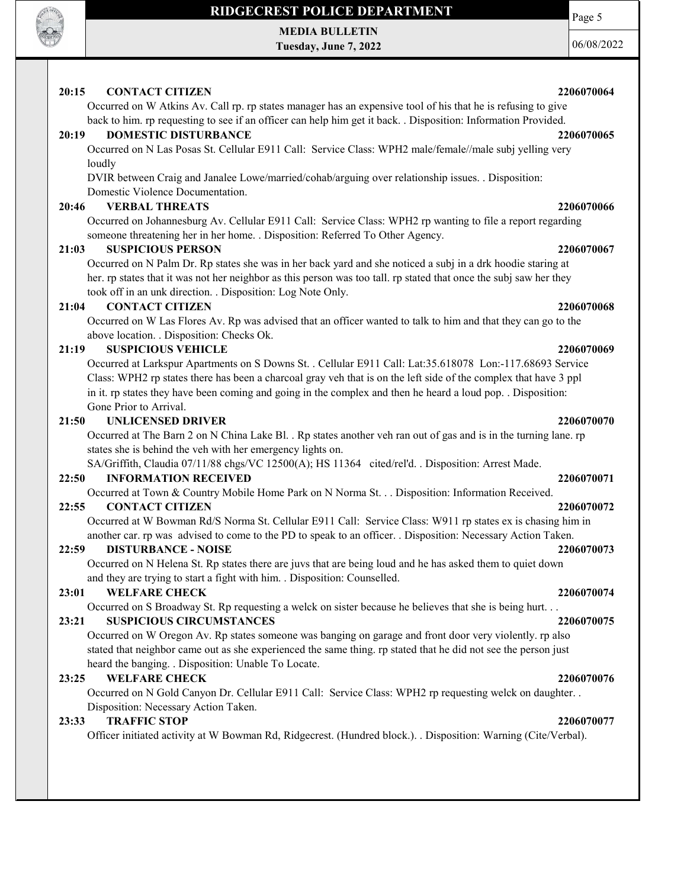

MEDIA BULLETIN Tuesday, June 7, 2022

06/08/2022

Page 5

### 20:15 CONTACT CITIZEN 2206070064

Occurred on W Atkins Av. Call rp. rp states manager has an expensive tool of his that he is refusing to give back to him. rp requesting to see if an officer can help him get it back. . Disposition: Information Provided.

### 20:19 DOMESTIC DISTURBANCE 2206070065

Occurred on N Las Posas St. Cellular E911 Call: Service Class: WPH2 male/female//male subj yelling very loudly

DVIR between Craig and Janalee Lowe/married/cohab/arguing over relationship issues. . Disposition: Domestic Violence Documentation.

### 20:46 VERBAL THREATS 2206070066

Occurred on Johannesburg Av. Cellular E911 Call: Service Class: WPH2 rp wanting to file a report regarding someone threatening her in her home. . Disposition: Referred To Other Agency.

### 21:03 SUSPICIOUS PERSON 2206070067

Occurred on N Palm Dr. Rp states she was in her back yard and she noticed a subj in a drk hoodie staring at her. rp states that it was not her neighbor as this person was too tall. rp stated that once the subj saw her they took off in an unk direction. . Disposition: Log Note Only.

### 21:04 CONTACT CITIZEN 2206070068

Occurred on W Las Flores Av. Rp was advised that an officer wanted to talk to him and that they can go to the above location. . Disposition: Checks Ok.

### 21:19 SUSPICIOUS VEHICLE 2206070069

Occurred at Larkspur Apartments on S Downs St. . Cellular E911 Call: Lat:35.618078 Lon:-117.68693 Service Class: WPH2 rp states there has been a charcoal gray veh that is on the left side of the complex that have 3 ppl in it. rp states they have been coming and going in the complex and then he heard a loud pop. . Disposition: Gone Prior to Arrival.

### 21:50 UNLICENSED DRIVER 2206070070

Occurred at The Barn 2 on N China Lake Bl. . Rp states another veh ran out of gas and is in the turning lane. rp states she is behind the veh with her emergency lights on.

SA/Griffith, Claudia 07/11/88 chgs/VC 12500(A); HS 11364 cited/rel'd. . Disposition: Arrest Made.

### 22:50 INFORMATION RECEIVED 2206070071

Occurred at Town & Country Mobile Home Park on N Norma St. . . Disposition: Information Received.

### 22:55 CONTACT CITIZEN 2206070072

Occurred at W Bowman Rd/S Norma St. Cellular E911 Call: Service Class: W911 rp states ex is chasing him in another car. rp was advised to come to the PD to speak to an officer. . Disposition: Necessary Action Taken.

### 22:59 DISTURBANCE - NOISE 2206070073

Occurred on N Helena St. Rp states there are juvs that are being loud and he has asked them to quiet down and they are trying to start a fight with him. . Disposition: Counselled.

### 23:01 WELFARE CHECK 2206070074

Occurred on S Broadway St. Rp requesting a welck on sister because he believes that she is being hurt. . .

### 23:21 SUSPICIOUS CIRCUMSTANCES 2206070075

Occurred on W Oregon Av. Rp states someone was banging on garage and front door very violently. rp also stated that neighbor came out as she experienced the same thing. rp stated that he did not see the person just heard the banging. . Disposition: Unable To Locate.

### 23:25 WELFARE CHECK 2206070076

Occurred on N Gold Canyon Dr. Cellular E911 Call: Service Class: WPH2 rp requesting welck on daughter. . Disposition: Necessary Action Taken.

### 23:33 TRAFFIC STOP 2206070077

Officer initiated activity at W Bowman Rd, Ridgecrest. (Hundred block.). . Disposition: Warning (Cite/Verbal).